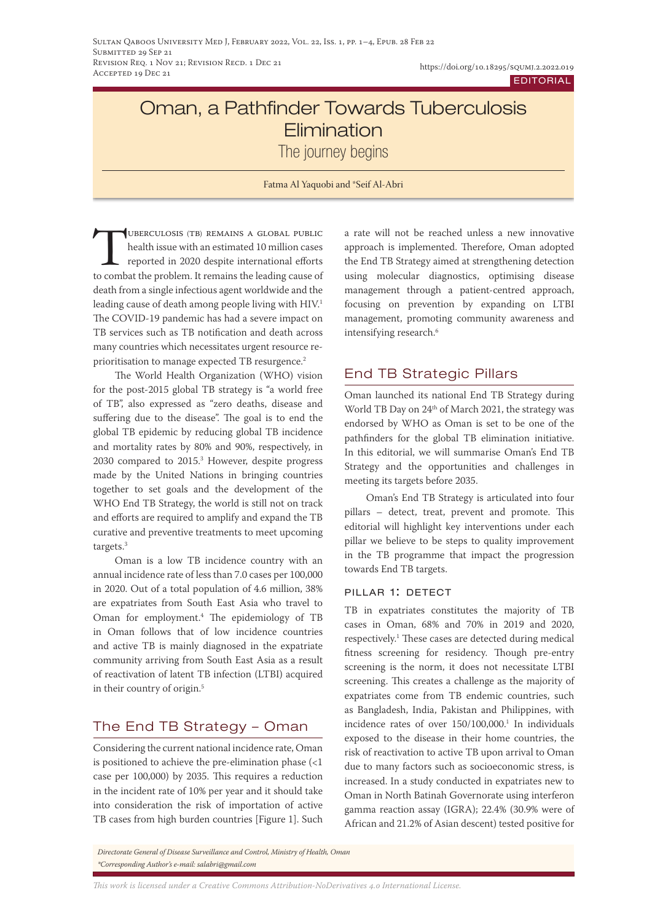# Oman, a Pathfinder Towards Tuberculosis **Flimination**

The journey begins

Fatma Al Yaquobi and \*Seif Al-Abri

Tuberculosis (tb) remains a global public health issue with an estimated 10 million cases reported in 2020 despite international efforts to combat the problem. It remains the leading cause of death from a single infectious agent worldwide and the leading cause of death among people living with HIV.<sup>1</sup> The COVID-19 pandemic has had a severe impact on TB services such as TB notification and death across many countries which necessitates urgent resource reprioritisation to manage expected TB resurgence.<sup>2</sup>

The World Health Organization (WHO) vision for the post-2015 global TB strategy is "a world free of TB", also expressed as "zero deaths, disease and suffering due to the disease". The goal is to end the global TB epidemic by reducing global TB incidence and mortality rates by 80% and 90%, respectively, in 2030 compared to 2015.3 However, despite progress made by the United Nations in bringing countries together to set goals and the development of the WHO End TB Strategy, the world is still not on track and efforts are required to amplify and expand the TB curative and preventive treatments to meet upcoming targets.3

Oman is a low TB incidence country with an annual incidence rate of less than 7.0 cases per 100,000 in 2020. Out of a total population of 4.6 million, 38% are expatriates from South East Asia who travel to Oman for employment.4 The epidemiology of TB in Oman follows that of low incidence countries and active TB is mainly diagnosed in the expatriate community arriving from South East Asia as a result of reactivation of latent TB infection (LTBI) acquired in their country of origin.<sup>5</sup>

# The End TB Strategy – Oman

Considering the current national incidence rate, Oman is positioned to achieve the pre-elimination phase (<1 case per 100,000) by 2035. This requires a reduction in the incident rate of 10% per year and it should take into consideration the risk of importation of active TB cases from high burden countries [Figure 1]. Such a rate will not be reached unless a new innovative approach is implemented. Therefore, Oman adopted the End TB Strategy aimed at strengthening detection using molecular diagnostics, optimising disease management through a patient-centred approach, focusing on prevention by expanding on LTBI management, promoting community awareness and intensifying research.6

# End TB Strategic Pillars

Oman launched its national End TB Strategy during World TB Day on 24<sup>th</sup> of March 2021, the strategy was endorsed by WHO as Oman is set to be one of the pathfinders for the global TB elimination initiative. In this editorial, we will summarise Oman's End TB Strategy and the opportunities and challenges in meeting its targets before 2035.

Oman's End TB Strategy is articulated into four pillars – detect, treat, prevent and promote. This editorial will highlight key interventions under each pillar we believe to be steps to quality improvement in the TB programme that impact the progression towards End TB targets.

## pillar 1: detect

TB in expatriates constitutes the majority of TB cases in Oman, 68% and 70% in 2019 and 2020, respectively.1 These cases are detected during medical fitness screening for residency. Though pre-entry screening is the norm, it does not necessitate LTBI screening. This creates a challenge as the majority of expatriates come from TB endemic countries, such as Bangladesh, India, Pakistan and Philippines, with incidence rates of over 150/100,000.<sup>1</sup> In individuals exposed to the disease in their home countries, the risk of reactivation to active TB upon arrival to Oman due to many factors such as socioeconomic stress, is increased. In a study conducted in expatriates new to Oman in North Batinah Governorate using interferon gamma reaction assay (IGRA); 22.4% (30.9% were of African and 21.2% of Asian descent) tested positive for

*Directorate General of Disease Surveillance and Control, Ministry of Health, Oman \*Corresponding Author's e-mail: salabri@gmail.com*

*This work is licensed under a [Creative Commons Attribution-NoDerivatives 4.0 International License.](https://creativecommons.org/licenses/by-nd/4.0/)*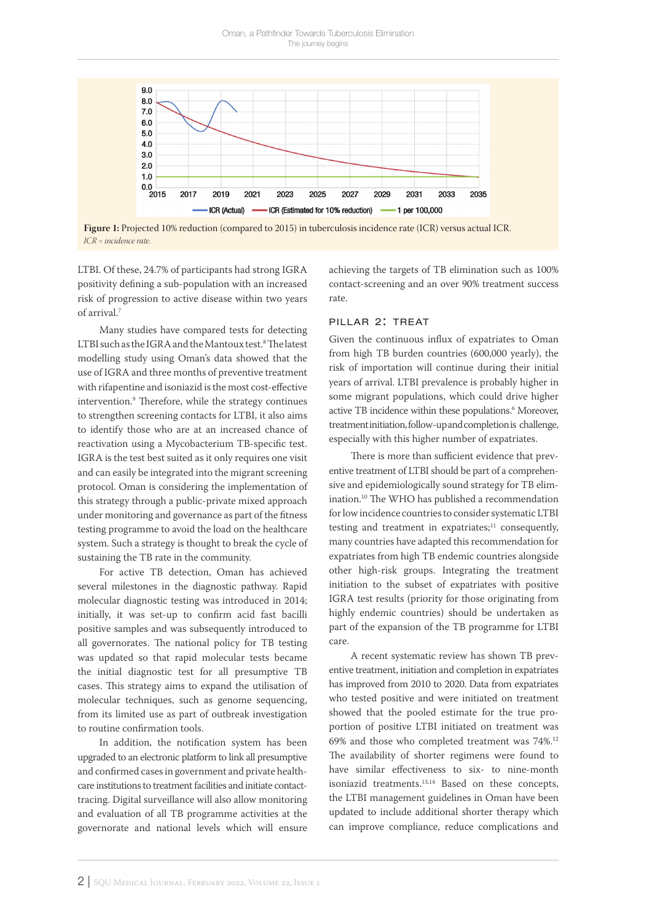

**Figure 1:** Projected 10% reduction (compared to 2015) in tuberculosis incidence rate (ICR) versus actual ICR. *ICR = incidence rate.*

LTBI. Of these, 24.7% of participants had strong IGRA positivity defining a sub-population with an increased risk of progression to active disease within two years of arrival.7

Many studies have compared tests for detecting LTBI such as the IGRA and the Mantoux test.8 The latest modelling study using Oman's data showed that the use of IGRA and three months of preventive treatment with rifapentine and isoniazid is the most cost-effective intervention.9 Therefore, while the strategy continues to strengthen screening contacts for LTBI, it also aims to identify those who are at an increased chance of reactivation using a Mycobacterium TB-specific test. IGRA is the test best suited as it only requires one visit and can easily be integrated into the migrant screening protocol. Oman is considering the implementation of this strategy through a public-private mixed approach under monitoring and governance as part of the fitness testing programme to avoid the load on the healthcare system. Such a strategy is thought to break the cycle of sustaining the TB rate in the community.

For active TB detection, Oman has achieved several milestones in the diagnostic pathway. Rapid molecular diagnostic testing was introduced in 2014; initially, it was set-up to confirm acid fast bacilli positive samples and was subsequently introduced to all governorates. The national policy for TB testing was updated so that rapid molecular tests became the initial diagnostic test for all presumptive TB cases. This strategy aims to expand the utilisation of molecular techniques, such as genome sequencing, from its limited use as part of outbreak investigation to routine confirmation tools.

In addition, the notification system has been upgraded to an electronic platform to link all presumptive and confirmed cases in government and private healthcare institutions to treatment facilities and initiate contacttracing. Digital surveillance will also allow monitoring and evaluation of all TB programme activities at the governorate and national levels which will ensure achieving the targets of TB elimination such as 100% contact-screening and an over 90% treatment success rate.

#### pillar 2: treat

Given the continuous influx of expatriates to Oman from high TB burden countries (600,000 yearly), the risk of importation will continue during their initial years of arrival. LTBI prevalence is probably higher in some migrant populations, which could drive higher active TB incidence within these populations.<sup>6</sup> Moreover, treatment initiation, follow-up and completion is challenge, especially with this higher number of expatriates.

There is more than sufficient evidence that preventive treatment of LTBI should be part of a comprehensive and epidemiologically sound strategy for TB elimination.10 The WHO has published a recommendation for low incidence countries to consider systematic LTBI testing and treatment in expatriates;<sup>11</sup> consequently, many countries have adapted this recommendation for expatriates from high TB endemic countries alongside other high-risk groups. Integrating the treatment initiation to the subset of expatriates with positive IGRA test results (priority for those originating from highly endemic countries) should be undertaken as part of the expansion of the TB programme for LTBI care.

A recent systematic review has shown TB preventive treatment, initiation and completion in expatriates has improved from 2010 to 2020. Data from expatriates who tested positive and were initiated on treatment showed that the pooled estimate for the true proportion of positive LTBI initiated on treatment was 69% and those who completed treatment was 74%.12 The availability of shorter regimens were found to have similar effectiveness to six- to nine-month isoniazid treatments.<sup>13,14</sup> Based on these concepts, the LTBI management guidelines in Oman have been updated to include additional shorter therapy which can improve compliance, reduce complications and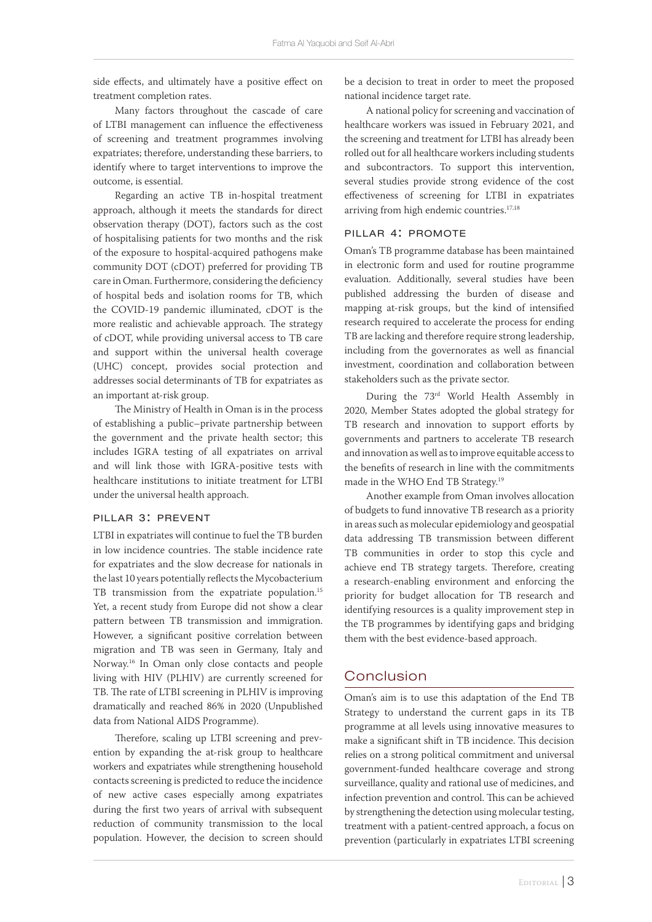side effects, and ultimately have a positive effect on treatment completion rates.

Many factors throughout the cascade of care of LTBI management can influence the effectiveness of screening and treatment programmes involving expatriates; therefore, understanding these barriers, to identify where to target interventions to improve the outcome, is essential.

Regarding an active TB in-hospital treatment approach, although it meets the standards for direct observation therapy (DOT), factors such as the cost of hospitalising patients for two months and the risk of the exposure to hospital-acquired pathogens make community DOT (cDOT) preferred for providing TB care in Oman. Furthermore, considering the deficiency of hospital beds and isolation rooms for TB, which the COVID-19 pandemic illuminated, cDOT is the more realistic and achievable approach. The strategy of cDOT, while providing universal access to TB care and support within the universal health coverage (UHC) concept, provides social protection and addresses social determinants of TB for expatriates as an important at-risk group.

The Ministry of Health in Oman is in the process of establishing a public–private partnership between the government and the private health sector; this includes IGRA testing of all expatriates on arrival and will link those with IGRA-positive tests with healthcare institutions to initiate treatment for LTBI under the universal health approach.

#### pillar 3: prevent

LTBI in expatriates will continue to fuel the TB burden in low incidence countries. The stable incidence rate for expatriates and the slow decrease for nationals in the last 10 years potentially reflects the Mycobacterium TB transmission from the expatriate population.<sup>15</sup> Yet, a recent study from Europe did not show a clear pattern between TB transmission and immigration. However, a significant positive correlation between migration and TB was seen in Germany, Italy and Norway.16 In Oman only close contacts and people living with HIV (PLHIV) are currently screened for TB. The rate of LTBI screening in PLHIV is improving dramatically and reached 86% in 2020 (Unpublished data from National AIDS Programme).

Therefore, scaling up LTBI screening and prevention by expanding the at-risk group to healthcare workers and expatriates while strengthening household contacts screening is predicted to reduce the incidence of new active cases especially among expatriates during the first two years of arrival with subsequent reduction of community transmission to the local population. However, the decision to screen should be a decision to treat in order to meet the proposed national incidence target rate.

A national policy for screening and vaccination of healthcare workers was issued in February 2021, and the screening and treatment for LTBI has already been rolled out for all healthcare workers including students and subcontractors. To support this intervention, several studies provide strong evidence of the cost effectiveness of screening for LTBI in expatriates arriving from high endemic countries.<sup>17,18</sup>

#### pillar 4: promote

Oman's TB programme database has been maintained in electronic form and used for routine programme evaluation. Additionally, several studies have been published addressing the burden of disease and mapping at-risk groups, but the kind of intensified research required to accelerate the process for ending TB are lacking and therefore require strong leadership, including from the governorates as well as financial investment, coordination and collaboration between stakeholders such as the private sector.

During the 73rd World Health Assembly in 2020, Member States adopted the global strategy for TB research and innovation to support efforts by governments and partners to accelerate TB research and innovation as well as to improve equitable access to the benefits of research in line with the commitments made in the WHO End TB Strategy.19

Another example from Oman involves allocation of budgets to fund innovative TB research as a priority in areas such as molecular epidemiology and geospatial data addressing TB transmission between different TB communities in order to stop this cycle and achieve end TB strategy targets. Therefore, creating a research-enabling environment and enforcing the priority for budget allocation for TB research and identifying resources is a quality improvement step in the TB programmes by identifying gaps and bridging them with the best evidence-based approach.

# Conclusion

Oman's aim is to use this adaptation of the End TB Strategy to understand the current gaps in its TB programme at all levels using innovative measures to make a significant shift in TB incidence. This decision relies on a strong political commitment and universal government-funded healthcare coverage and strong surveillance, quality and rational use of medicines, and infection prevention and control. This can be achieved by strengthening the detection using molecular testing, treatment with a patient-centred approach, a focus on prevention (particularly in expatriates LTBI screening